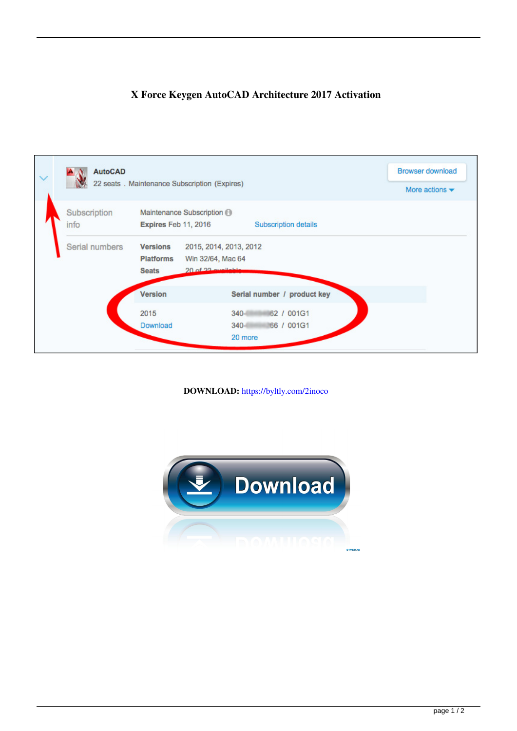



**DOWNLOAD:** <https://byltly.com/2inoco>